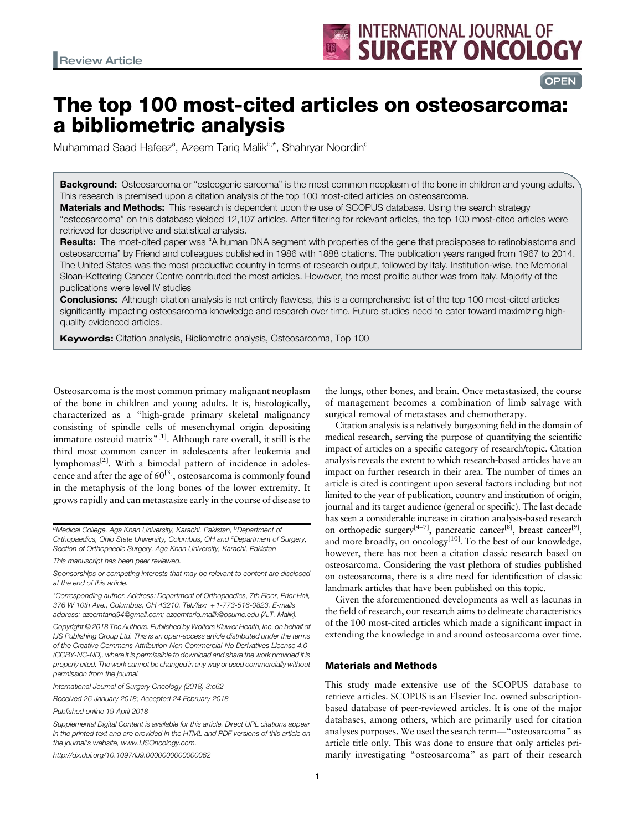

# The top 100 most-cited articles on osteosarcoma: a bibliometric analysis

Muhammad Saad Hafeez $^{\rm a}$ , Azeem Tariq Malik $^{\rm b,*}$ , Shahryar Noordin $^{\rm c}$ 

Background: Osteosarcoma or "osteogenic sarcoma" is the most common neoplasm of the bone in children and young adults. This research is premised upon a citation analysis of the top 100 most-cited articles on osteosarcoma.

Materials and Methods: This research is dependent upon the use of SCOPUS database. Using the search strategy "osteosarcoma" on this database yielded 12,107 articles. After filtering for relevant articles, the top 100 most-cited articles were retrieved for descriptive and statistical analysis.

Results: The most-cited paper was "A human DNA segment with properties of the gene that predisposes to retinoblastoma and osteosarcoma" by Friend and colleagues published in 1986 with 1888 citations. The publication years ranged from 1967 to 2014. The United States was the most productive country in terms of research output, followed by Italy. Institution-wise, the Memorial Sloan-Kettering Cancer Centre contributed the most articles. However, the most prolific author was from Italy. Majority of the publications were level IV studies

Conclusions: Although citation analysis is not entirely flawless, this is a comprehensive list of the top 100 most-cited articles significantly impacting osteosarcoma knowledge and research over time. Future studies need to cater toward maximizing highquality evidenced articles.

Keywords: Citation analysis, Bibliometric analysis, Osteosarcoma, Top 100

Osteosarcoma is the most common primary malignant neoplasm of the bone in children and young adults. It is, histologically, characterized as a "high-grade primary skeletal malignancy consisting of spindle cells of mesenchymal origin depositing immature osteoid matrix $n<sup>[1]</sup>$  $n<sup>[1]</sup>$  $n<sup>[1]</sup>$ . Although rare overall, it still is the third most common cancer in adolescents after leukemia and lymphomas<sup>[\[2](#page-4-0)]</sup>. With a bimodal pattern of incidence in adolescence and after the age of  $60^{[3]}$  $60^{[3]}$  $60^{[3]}$ , osteosarcoma is commonly found in the metaphysis of the long bones of the lower extremity. It grows rapidly and can metastasize early in the course of disease to

http://dx.doi.org/10.1097/IJ9.0000000000000062

the lungs, other bones, and brain. Once metastasized, the course of management becomes a combination of limb salvage with surgical removal of metastases and chemotherapy.

Citation analysis is a relatively burgeoning field in the domain of medical research, serving the purpose of quantifying the scientific impact of articles on a specific category of research/topic. Citation analysis reveals the extent to which research-based articles have an impact on further research in their area. The number of times an article is cited is contingent upon several factors including but not limited to the year of publication, country and institution of origin, journal and its target audience (general or specific). The last decade has seen a considerable increase in citation analysis-based research on orthopedic surgery<sup>[4-7]</sup>, pancreatic cancer<sup>[8]</sup>, breast cancer<sup>[\[9](#page-4-0)]</sup>, and more broadly, on oncology<sup>[10]</sup>. To the best of our knowledge, however, there has not been a citation classic research based on osteosarcoma. Considering the vast plethora of studies published on osteosarcoma, there is a dire need for identification of classic landmark articles that have been published on this topic.

Given the aforementioned developments as well as lacunas in the field of research, our research aims to delineate characteristics of the 100 most-cited articles which made a significant impact in extending the knowledge in and around osteosarcoma over time.

#### Materials and Methods

This study made extensive use of the SCOPUS database to retrieve articles. SCOPUS is an Elsevier Inc. owned subscriptionbased database of peer-reviewed articles. It is one of the major databases, among others, which are primarily used for citation analyses purposes. We used the search term—"osteosarcoma" as article title only. This was done to ensure that only articles primarily investigating "osteosarcoma" as part of their research

<sup>&</sup>lt;sup>a</sup>Medical College, Aga Khan University, Karachi, Pakistan, <sup>b</sup>Department of Orthopaedics, Ohio State University, Columbus, OH and <sup>c</sup>Department of Surgery, Section of Orthopaedic Surgery, Aga Khan University, Karachi, Pakistan

This manuscript has been peer reviewed.

Sponsorships or competing interests that may be relevant to content are disclosed at the end of this article.

<sup>\*</sup>Corresponding author. Address: Department of Orthopaedics, 7th Floor, Prior Hall, 376 W 10th Ave., Columbus, OH 43210. Tel./fax: + 1-773-516-0823. E-mails address: [azeemtariq94@gmail.com;](mailto:azeemtariq94@gmail.com) [azeemtariq.malik@osumc.edu](mailto:azeemtariq.malik@osumc.edu) (A.T. Malik).

Copyright © 2018 The Authors. Published by Wolters Kluwer Health, Inc. on behalf of IJS Publishing Group Ltd. This is an open-access article distributed under the terms of the [Creative Commons Attribution-Non Commercial-No Derivatives License 4.0](http://creativecommons.org/licenses/by-nc-nd/4.0/) (CCBY-NC-ND), where it is permissible to download and share the work provided it is properly cited. The work cannot be changed in any way or used commercially without permission from the journal.

International Journal of Surgery Oncology (2018) 3:e62

Received 26 January 2018; Accepted 24 February 2018

Published online 19 April 2018

Supplemental Digital Content is available for this article. Direct URL citations appear in the printed text and are provided in the HTML and PDF versions of this article on the journal's website, [www.IJSOncology.com.](http://www.IJSOncology.com)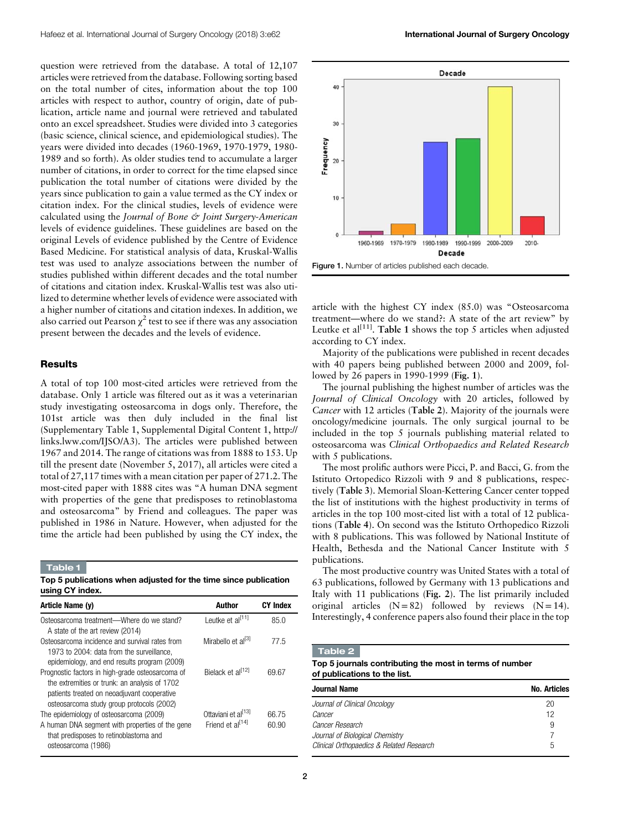question were retrieved from the database. A total of 12,107 articles were retrieved from the database. Following sorting based on the total number of cites, information about the top 100 articles with respect to author, country of origin, date of publication, article name and journal were retrieved and tabulated onto an excel spreadsheet. Studies were divided into 3 categories (basic science, clinical science, and epidemiological studies). The years were divided into decades (1960-1969, 1970-1979, 1980- 1989 and so forth). As older studies tend to accumulate a larger number of citations, in order to correct for the time elapsed since publication the total number of citations were divided by the years since publication to gain a value termed as the CY index or citation index. For the clinical studies, levels of evidence were calculated using the Journal of Bone & Joint Surgery-American levels of evidence guidelines. These guidelines are based on the original Levels of evidence published by the Centre of Evidence Based Medicine. For statistical analysis of data, Kruskal-Wallis test was used to analyze associations between the number of studies published within different decades and the total number of citations and citation index. Kruskal-Wallis test was also utilized to determine whether levels of evidence were associated with a higher number of citations and citation indexes. In addition, we also carried out Pearson  $\chi^2$  test to see if there was any association present between the decades and the levels of evidence.

## Results

A total of top 100 most-cited articles were retrieved from the database. Only 1 article was filtered out as it was a veterinarian study investigating osteosarcoma in dogs only. Therefore, the 101st article was then duly included in the final list (Supplementary Table 1, Supplemental Digital Content 1, [http://](http://links.lww.com/IJSO/A3) [links.lww.com/IJSO/A3\)](http://links.lww.com/IJSO/A3). The articles were published between 1967 and 2014. The range of citations was from 1888 to 153. Up till the present date (November 5, 2017), all articles were cited a total of 27,117 times with a mean citation per paper of 271.2. The most-cited paper with 1888 cites was "A human DNA segment with properties of the gene that predisposes to retinoblastoma and osteosarcoma" by Friend and colleagues. The paper was published in 1986 in Nature. However, when adjusted for the time the article had been published by using the CY index, the

#### Table 1

Top 5 publications when adjusted for the time since publication using CY index.

| Article Name (y)                                                                                                                                                                                         | Author                                                          | <b>CY Index</b> |
|----------------------------------------------------------------------------------------------------------------------------------------------------------------------------------------------------------|-----------------------------------------------------------------|-----------------|
| Osteosarcoma treatment—Where do we stand?<br>A state of the art review (2014)                                                                                                                            | Leutke et al <sup>[11]</sup>                                    | 85.0            |
| Osteosarcoma incidence and survival rates from<br>1973 to 2004: data from the surveillance.                                                                                                              | Mirabello et al <sup>[3]</sup>                                  | 77.5            |
| epidemiology, and end results program (2009)<br>Prognostic factors in high-grade osteosarcoma of<br>the extremities or trunk: an analysis of 1702<br>patients treated on neoadjuvant cooperative         | Bielack et al <sup>[12]</sup>                                   | 69.67           |
| osteosarcoma study group protocols (2002)<br>The epidemiology of osteosarcoma (2009)<br>A human DNA segment with properties of the gene<br>that predisposes to retinoblastoma and<br>osteosarcoma (1986) | Ottaviani et al <sup>[13]</sup><br>Friend et al <sup>[14]</sup> | 66.75<br>60.90  |



article with the highest CY index (85.0) was "Osteosarcoma treatment—where do we stand?: A state of the art review" by Leutke et al<sup>[\[11\]](#page-4-0)</sup>. Table 1 shows the top 5 articles when adjusted according to CY index.

Majority of the publications were published in recent decades with 40 papers being published between 2000 and 2009, followed by 26 papers in 1990-1999 (Fig. 1).

The journal publishing the highest number of articles was the Journal of Clinical Oncology with 20 articles, followed by Cancer with 12 articles (Table 2). Majority of the journals were oncology/medicine journals. The only surgical journal to be included in the top 5 journals publishing material related to osteosarcoma was Clinical Orthopaedics and Related Research with 5 publications.

The most prolific authors were Picci, P. and Bacci, G. from the Istituto Ortopedico Rizzoli with 9 and 8 publications, respectively ([Table 3](#page-2-0)). Memorial Sloan-Kettering Cancer center topped the list of institutions with the highest productivity in terms of articles in the top 100 most-cited list with a total of 12 publications ([Table 4](#page-2-0)). On second was the Istituto Orthopedico Rizzoli with 8 publications. This was followed by National Institute of Health, Bethesda and the National Cancer Institute with 5 publications.

The most productive country was United States with a total of 63 publications, followed by Germany with 13 publications and Italy with 11 publications ([Fig. 2](#page-2-0)). The list primarily included original articles  $(N = 82)$  followed by reviews  $(N = 14)$ . Interestingly, 4 conference papers also found their place in the top

Table 2

| of publications to the list. |  |
|------------------------------|--|

| <b>Journal Name</b>                      | <b>No. Articles</b> |
|------------------------------------------|---------------------|
| Journal of Clinical Oncology             | 20                  |
| Cancer                                   | 12                  |
| Cancer Research                          | 9                   |
| Journal of Biological Chemistry          |                     |
| Clinical Orthopaedics & Related Research | 5                   |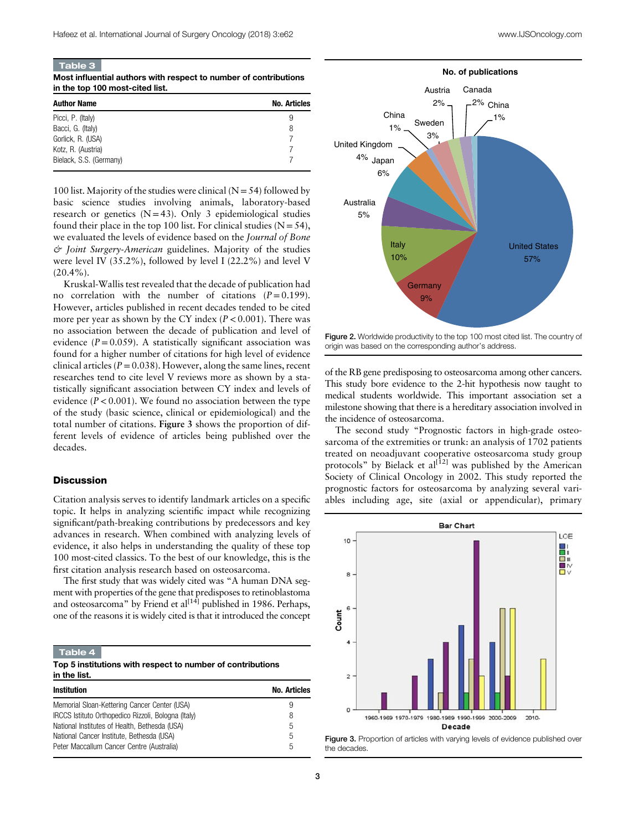<span id="page-2-0"></span>Table 3

Most influential authors with respect to number of contributions in the top 100 most-cited list.

| <b>Author Name</b>      | <b>No. Articles</b> |
|-------------------------|---------------------|
| Picci, P. (Italy)       | 9                   |
| Bacci, G. (Italy)       | 8                   |
| Gorlick, R. (USA)       |                     |
| Kotz, R. (Austria)      |                     |
| Bielack, S.S. (Germany) |                     |

100 list. Majority of the studies were clinical  $(N = 54)$  followed by basic science studies involving animals, laboratory-based research or genetics  $(N=43)$ . Only 3 epidemiological studies found their place in the top 100 list. For clinical studies  $(N = 54)$ , we evaluated the levels of evidence based on the Journal of Bone  $\acute{\mathcal{O}}$  *Joint Surgery-American* guidelines. Majority of the studies were level IV (35.2%), followed by level I (22.2%) and level V  $(20.4\%)$ .

Kruskal-Wallis test revealed that the decade of publication had no correlation with the number of citations  $(P=0.199)$ . However, articles published in recent decades tended to be cited more per year as shown by the CY index  $(P < 0.001)$ . There was no association between the decade of publication and level of evidence  $(P = 0.059)$ . A statistically significant association was found for a higher number of citations for high level of evidence clinical articles ( $P = 0.038$ ). However, along the same lines, recent researches tend to cite level V reviews more as shown by a statistically significant association between CY index and levels of evidence ( $P < 0.001$ ). We found no association between the type of the study (basic science, clinical or epidemiological) and the total number of citations. Figure 3 shows the proportion of different levels of evidence of articles being published over the decades.

#### **Discussion**

Citation analysis serves to identify landmark articles on a specific topic. It helps in analyzing scientific impact while recognizing significant/path-breaking contributions by predecessors and key advances in research. When combined with analyzing levels of evidence, it also helps in understanding the quality of these top 100 most-cited classics. To the best of our knowledge, this is the first citation analysis research based on osteosarcoma.

The first study that was widely cited was "A human DNA segment with properties of the gene that predisposes to retinoblastoma and osteosarcoma" by Friend et al $[14]$  published in 1986. Perhaps, one of the reasons it is widely cited is that it introduced the concept

Table 4 Top 5 institutions with respect to number of contributions in the list.

| <b>Institution</b>                                  | <b>No. Articles</b> |
|-----------------------------------------------------|---------------------|
| Memorial Sloan-Kettering Cancer Center (USA)        | 9                   |
| IRCCS Istituto Orthopedico Rizzoli, Bologna (Italy) | 8                   |
| National Institutes of Health, Bethesda (USA)       | 5                   |
| National Cancer Institute, Bethesda (USA)           | 5                   |
| Peter Maccallum Cancer Centre (Australia)           | 5                   |



Figure 2. Worldwide productivity to the top 100 most cited list. The country of origin was based on the corresponding author's address.

of the RB gene predisposing to osteosarcoma among other cancers. This study bore evidence to the 2-hit hypothesis now taught to medical students worldwide. This important association set a milestone showing that there is a hereditary association involved in the incidence of osteosarcoma.

The second study "Prognostic factors in high-grade osteosarcoma of the extremities or trunk: an analysis of 1702 patients treated on neoadjuvant cooperative osteosarcoma study group protocols" by Bielack et al<sup>[\[12](#page-4-0)]</sup> was published by the American Society of Clinical Oncology in 2002. This study reported the prognostic factors for osteosarcoma by analyzing several variables including age, site (axial or appendicular), primary



Figure 3. Proportion of articles with varying levels of evidence published over the decades.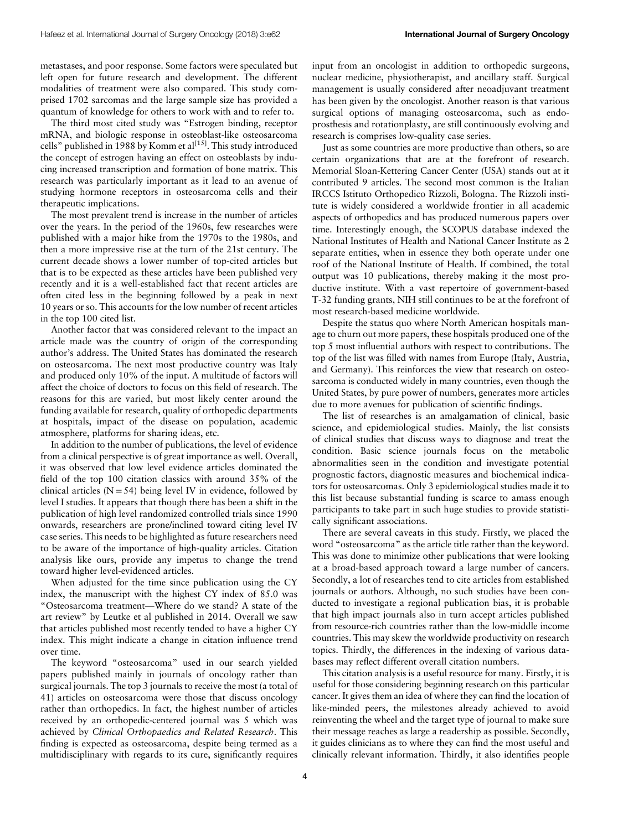metastases, and poor response. Some factors were speculated but left open for future research and development. The different modalities of treatment were also compared. This study comprised 1702 sarcomas and the large sample size has provided a quantum of knowledge for others to work with and to refer to.

The third most cited study was "Estrogen binding, receptor mRNA, and biologic response in osteoblast-like osteosarcoma cells" published in 1988 by Komm et al<sup>[\[15](#page-4-0)]</sup>. This study introduced the concept of estrogen having an effect on osteoblasts by inducing increased transcription and formation of bone matrix. This research was particularly important as it lead to an avenue of studying hormone receptors in osteosarcoma cells and their therapeutic implications.

The most prevalent trend is increase in the number of articles over the years. In the period of the 1960s, few researches were published with a major hike from the 1970s to the 1980s, and then a more impressive rise at the turn of the 21st century. The current decade shows a lower number of top-cited articles but that is to be expected as these articles have been published very recently and it is a well-established fact that recent articles are often cited less in the beginning followed by a peak in next 10 years or so. This accounts for the low number of recent articles in the top 100 cited list.

Another factor that was considered relevant to the impact an article made was the country of origin of the corresponding author's address. The United States has dominated the research on osteosarcoma. The next most productive country was Italy and produced only 10% of the input. A multitude of factors will affect the choice of doctors to focus on this field of research. The reasons for this are varied, but most likely center around the funding available for research, quality of orthopedic departments at hospitals, impact of the disease on population, academic atmosphere, platforms for sharing ideas, etc.

In addition to the number of publications, the level of evidence from a clinical perspective is of great importance as well. Overall, it was observed that low level evidence articles dominated the field of the top 100 citation classics with around 35% of the clinical articles  $(N = 54)$  being level IV in evidence, followed by level I studies. It appears that though there has been a shift in the publication of high level randomized controlled trials since 1990 onwards, researchers are prone/inclined toward citing level IV case series. This needs to be highlighted as future researchers need to be aware of the importance of high-quality articles. Citation analysis like ours, provide any impetus to change the trend toward higher level-evidenced articles.

When adjusted for the time since publication using the CY index, the manuscript with the highest CY index of 85.0 was "Osteosarcoma treatment—Where do we stand? A state of the art review" by Leutke et al published in 2014. Overall we saw that articles published most recently tended to have a higher CY index. This might indicate a change in citation influence trend over time.

The keyword "osteosarcoma" used in our search yielded papers published mainly in journals of oncology rather than surgical journals. The top 3 journals to receive the most (a total of 41) articles on osteosarcoma were those that discuss oncology rather than orthopedics. In fact, the highest number of articles received by an orthopedic-centered journal was 5 which was achieved by Clinical Orthopaedics and Related Research. This finding is expected as osteosarcoma, despite being termed as a multidisciplinary with regards to its cure, significantly requires input from an oncologist in addition to orthopedic surgeons, nuclear medicine, physiotherapist, and ancillary staff. Surgical management is usually considered after neoadjuvant treatment has been given by the oncologist. Another reason is that various surgical options of managing osteosarcoma, such as endoprosthesis and rotationplasty, are still continuously evolving and research is comprises low-quality case series.

Just as some countries are more productive than others, so are certain organizations that are at the forefront of research. Memorial Sloan-Kettering Cancer Center (USA) stands out at it contributed 9 articles. The second most common is the Italian IRCCS Istituto Orthopedico Rizzoli, Bologna. The Rizzoli institute is widely considered a worldwide frontier in all academic aspects of orthopedics and has produced numerous papers over time. Interestingly enough, the SCOPUS database indexed the National Institutes of Health and National Cancer Institute as 2 separate entities, when in essence they both operate under one roof of the National Institute of Health. If combined, the total output was 10 publications, thereby making it the most productive institute. With a vast repertoire of government-based T-32 funding grants, NIH still continues to be at the forefront of most research-based medicine worldwide.

Despite the status quo where North American hospitals manage to churn out more papers, these hospitals produced one of the top 5 most influential authors with respect to contributions. The top of the list was filled with names from Europe (Italy, Austria, and Germany). This reinforces the view that research on osteosarcoma is conducted widely in many countries, even though the United States, by pure power of numbers, generates more articles due to more avenues for publication of scientific findings.

The list of researches is an amalgamation of clinical, basic science, and epidemiological studies. Mainly, the list consists of clinical studies that discuss ways to diagnose and treat the condition. Basic science journals focus on the metabolic abnormalities seen in the condition and investigate potential prognostic factors, diagnostic measures and biochemical indicators for osteosarcomas. Only 3 epidemiological studies made it to this list because substantial funding is scarce to amass enough participants to take part in such huge studies to provide statistically significant associations.

There are several caveats in this study. Firstly, we placed the word "osteosarcoma" as the article title rather than the keyword. This was done to minimize other publications that were looking at a broad-based approach toward a large number of cancers. Secondly, a lot of researches tend to cite articles from established journals or authors. Although, no such studies have been conducted to investigate a regional publication bias, it is probable that high impact journals also in turn accept articles published from resource-rich countries rather than the low-middle income countries. This may skew the worldwide productivity on research topics. Thirdly, the differences in the indexing of various databases may reflect different overall citation numbers.

This citation analysis is a useful resource for many. Firstly, it is useful for those considering beginning research on this particular cancer. It gives them an idea of where they can find the location of like-minded peers, the milestones already achieved to avoid reinventing the wheel and the target type of journal to make sure their message reaches as large a readership as possible. Secondly, it guides clinicians as to where they can find the most useful and clinically relevant information. Thirdly, it also identifies people